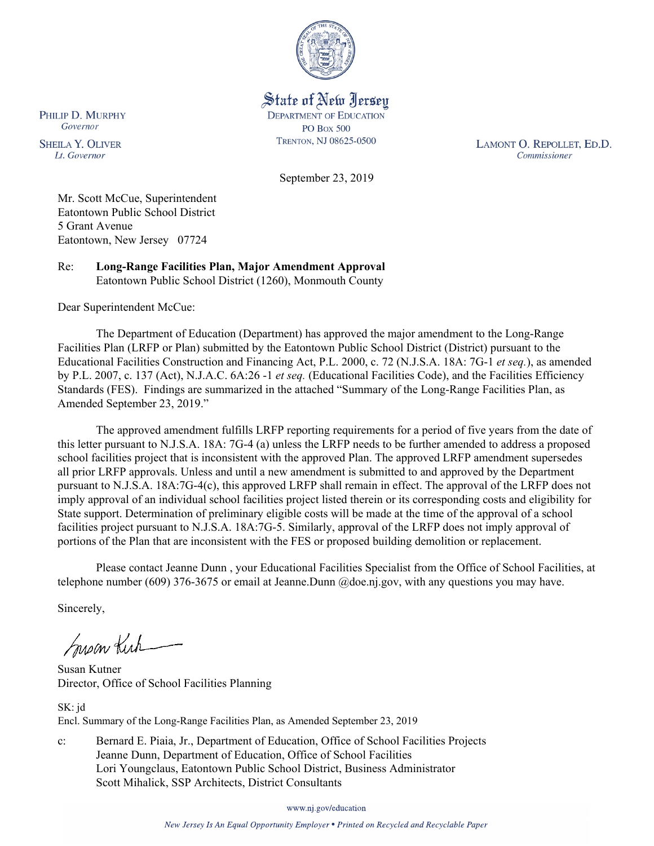

State of New Jersey **DEPARTMENT OF EDUCATION PO Box 500** TRENTON, NJ 08625-0500

LAMONT O. REPOLLET, ED.D. Commissioner

September 23, 2019

Mr. Scott McCue, Superintendent Eatontown Public School District 5 Grant Avenue Eatontown, New Jersey 07724

Re: **Long-Range Facilities Plan, Major Amendment Approval** Eatontown Public School District (1260), Monmouth County

Dear Superintendent McCue:

The Department of Education (Department) has approved the major amendment to the Long-Range Facilities Plan (LRFP or Plan) submitted by the Eatontown Public School District (District) pursuant to the Educational Facilities Construction and Financing Act, P.L. 2000, c. 72 (N.J.S.A. 18A: 7G-1 *et seq.*), as amended by P.L. 2007, c. 137 (Act), N.J.A.C. 6A:26 -1 *et seq.* (Educational Facilities Code), and the Facilities Efficiency Standards (FES). Findings are summarized in the attached "Summary of the Long-Range Facilities Plan, as Amended September 23, 2019."

The approved amendment fulfills LRFP reporting requirements for a period of five years from the date of this letter pursuant to N.J.S.A. 18A: 7G-4 (a) unless the LRFP needs to be further amended to address a proposed school facilities project that is inconsistent with the approved Plan. The approved LRFP amendment supersedes all prior LRFP approvals. Unless and until a new amendment is submitted to and approved by the Department pursuant to N.J.S.A. 18A:7G-4(c), this approved LRFP shall remain in effect. The approval of the LRFP does not imply approval of an individual school facilities project listed therein or its corresponding costs and eligibility for State support. Determination of preliminary eligible costs will be made at the time of the approval of a school facilities project pursuant to N.J.S.A. 18A:7G-5. Similarly, approval of the LRFP does not imply approval of portions of the Plan that are inconsistent with the FES or proposed building demolition or replacement.

Please contact Jeanne Dunn , your Educational Facilities Specialist from the Office of School Facilities, at telephone number (609) 376-3675 or email at Jeanne.Dunn @doe.nj.gov, with any questions you may have.

Sincerely,

Susan Kich

Susan Kutner Director, Office of School Facilities Planning

SK: jd Encl. Summary of the Long-Range Facilities Plan, as Amended September 23, 2019

c: Bernard E. Piaia, Jr., Department of Education, Office of School Facilities Projects Jeanne Dunn, Department of Education, Office of School Facilities Lori Youngclaus, Eatontown Public School District, Business Administrator Scott Mihalick, SSP Architects, District Consultants

www.nj.gov/education

PHILIP D. MURPHY Governor

**SHEILA Y. OLIVER** Lt. Governor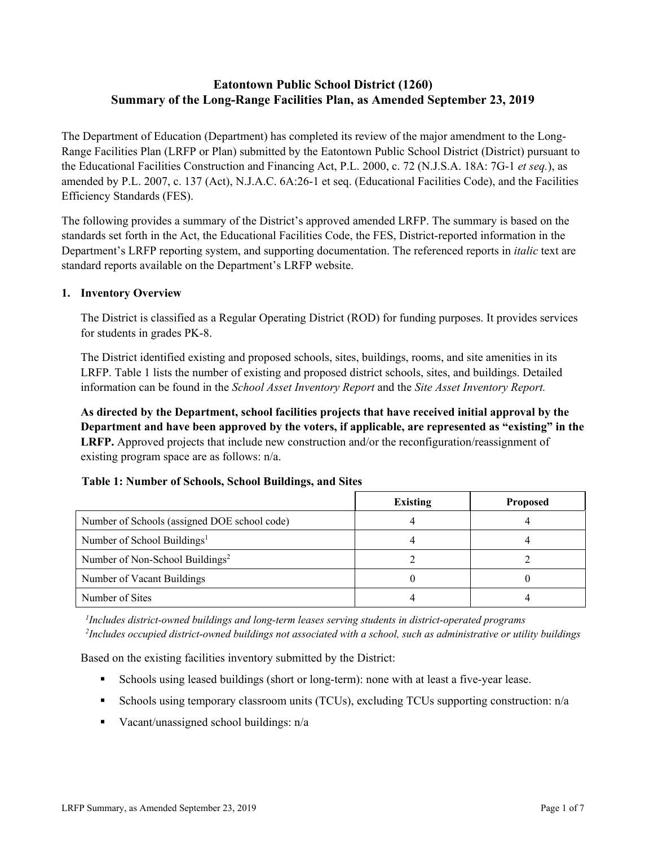# **Eatontown Public School District (1260) Summary of the Long-Range Facilities Plan, as Amended September 23, 2019**

The Department of Education (Department) has completed its review of the major amendment to the Long-Range Facilities Plan (LRFP or Plan) submitted by the Eatontown Public School District (District) pursuant to the Educational Facilities Construction and Financing Act, P.L. 2000, c. 72 (N.J.S.A. 18A: 7G-1 *et seq.*), as amended by P.L. 2007, c. 137 (Act), N.J.A.C. 6A:26-1 et seq. (Educational Facilities Code), and the Facilities Efficiency Standards (FES).

The following provides a summary of the District's approved amended LRFP. The summary is based on the standards set forth in the Act, the Educational Facilities Code, the FES, District-reported information in the Department's LRFP reporting system, and supporting documentation. The referenced reports in *italic* text are standard reports available on the Department's LRFP website.

#### **1. Inventory Overview**

The District is classified as a Regular Operating District (ROD) for funding purposes. It provides services for students in grades PK-8.

The District identified existing and proposed schools, sites, buildings, rooms, and site amenities in its LRFP. Table 1 lists the number of existing and proposed district schools, sites, and buildings. Detailed information can be found in the *School Asset Inventory Report* and the *Site Asset Inventory Report.*

**As directed by the Department, school facilities projects that have received initial approval by the Department and have been approved by the voters, if applicable, are represented as "existing" in the LRFP.** Approved projects that include new construction and/or the reconfiguration/reassignment of existing program space are as follows: n/a.

#### **Table 1: Number of Schools, School Buildings, and Sites**

|                                              | <b>Existing</b> | <b>Proposed</b> |
|----------------------------------------------|-----------------|-----------------|
| Number of Schools (assigned DOE school code) |                 |                 |
| Number of School Buildings <sup>1</sup>      |                 |                 |
| Number of Non-School Buildings <sup>2</sup>  |                 |                 |
| Number of Vacant Buildings                   |                 |                 |
| Number of Sites                              |                 |                 |

*1 Includes district-owned buildings and long-term leases serving students in district-operated programs 2 Includes occupied district-owned buildings not associated with a school, such as administrative or utility buildings*

Based on the existing facilities inventory submitted by the District:

- Schools using leased buildings (short or long-term): none with at least a five-year lease.
- Schools using temporary classroom units (TCUs), excluding TCUs supporting construction: n/a
- Vacant/unassigned school buildings:  $n/a$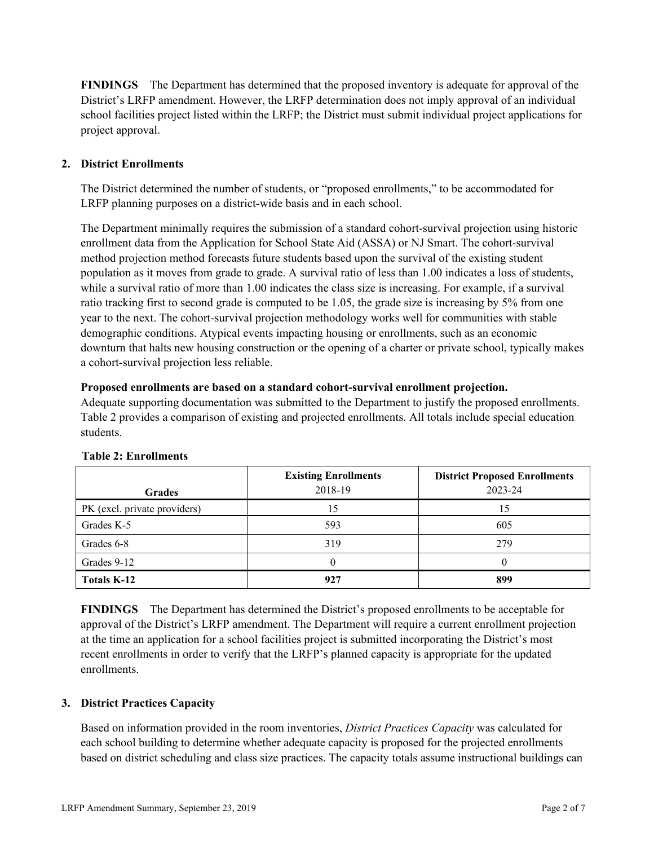**FINDINGS** The Department has determined that the proposed inventory is adequate for approval of the District's LRFP amendment. However, the LRFP determination does not imply approval of an individual school facilities project listed within the LRFP; the District must submit individual project applications for project approval.

## **2. District Enrollments**

The District determined the number of students, or "proposed enrollments," to be accommodated for LRFP planning purposes on a district-wide basis and in each school.

The Department minimally requires the submission of a standard cohort-survival projection using historic enrollment data from the Application for School State Aid (ASSA) or NJ Smart. The cohort-survival method projection method forecasts future students based upon the survival of the existing student population as it moves from grade to grade. A survival ratio of less than 1.00 indicates a loss of students, while a survival ratio of more than 1.00 indicates the class size is increasing. For example, if a survival ratio tracking first to second grade is computed to be 1.05, the grade size is increasing by 5% from one year to the next. The cohort-survival projection methodology works well for communities with stable demographic conditions. Atypical events impacting housing or enrollments, such as an economic downturn that halts new housing construction or the opening of a charter or private school, typically makes a cohort-survival projection less reliable.

#### **Proposed enrollments are based on a standard cohort-survival enrollment projection.**

Adequate supporting documentation was submitted to the Department to justify the proposed enrollments. Table 2 provides a comparison of existing and projected enrollments. All totals include special education students.

| <b>Grades</b>                | <b>Existing Enrollments</b><br>2018-19 | <b>District Proposed Enrollments</b><br>2023-24 |
|------------------------------|----------------------------------------|-------------------------------------------------|
| PK (excl. private providers) |                                        | 15                                              |
| Grades K-5                   | 593                                    | 605                                             |
| Grades 6-8                   | 319                                    | 279                                             |
| Grades 9-12                  |                                        |                                                 |
| <b>Totals K-12</b>           | 927                                    | 899                                             |

#### **Table 2: Enrollments**

**FINDINGS** The Department has determined the District's proposed enrollments to be acceptable for approval of the District's LRFP amendment. The Department will require a current enrollment projection at the time an application for a school facilities project is submitted incorporating the District's most recent enrollments in order to verify that the LRFP's planned capacity is appropriate for the updated enrollments.

#### **3. District Practices Capacity**

Based on information provided in the room inventories, *District Practices Capacity* was calculated for each school building to determine whether adequate capacity is proposed for the projected enrollments based on district scheduling and class size practices. The capacity totals assume instructional buildings can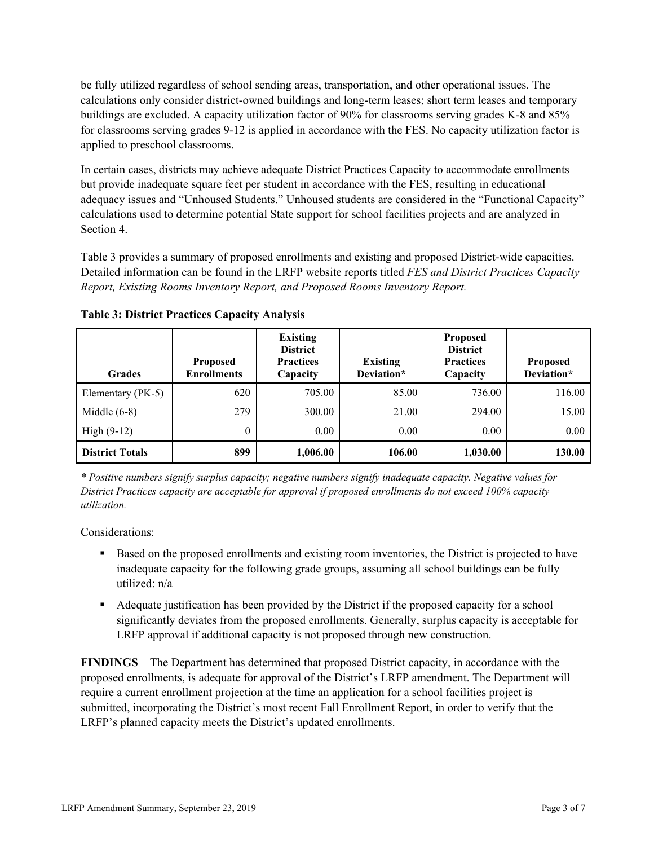be fully utilized regardless of school sending areas, transportation, and other operational issues. The calculations only consider district-owned buildings and long-term leases; short term leases and temporary buildings are excluded. A capacity utilization factor of 90% for classrooms serving grades K-8 and 85% for classrooms serving grades 9-12 is applied in accordance with the FES. No capacity utilization factor is applied to preschool classrooms.

In certain cases, districts may achieve adequate District Practices Capacity to accommodate enrollments but provide inadequate square feet per student in accordance with the FES, resulting in educational adequacy issues and "Unhoused Students." Unhoused students are considered in the "Functional Capacity" calculations used to determine potential State support for school facilities projects and are analyzed in Section 4.

Table 3 provides a summary of proposed enrollments and existing and proposed District-wide capacities. Detailed information can be found in the LRFP website reports titled *FES and District Practices Capacity Report, Existing Rooms Inventory Report, and Proposed Rooms Inventory Report.*

| <b>Grades</b>          | <b>Proposed</b><br><b>Enrollments</b> | <b>Existing</b><br><b>District</b><br><b>Practices</b><br>Capacity | <b>Existing</b><br>Deviation* | <b>Proposed</b><br><b>District</b><br><b>Practices</b><br>Capacity | <b>Proposed</b><br>Deviation* |
|------------------------|---------------------------------------|--------------------------------------------------------------------|-------------------------------|--------------------------------------------------------------------|-------------------------------|
| Elementary (PK-5)      | 620                                   | 705.00                                                             | 85.00                         | 736.00                                                             | 116.00                        |
| Middle $(6-8)$         | 279                                   | 300.00                                                             | 21.00                         | 294.00                                                             | 15.00                         |
| High $(9-12)$          | 0                                     | 0.00                                                               | 0.00                          | 0.00                                                               | 0.00                          |
| <b>District Totals</b> | 899                                   | 1,006.00                                                           | 106.00                        | 1,030.00                                                           | 130.00                        |

**Table 3: District Practices Capacity Analysis**

*\* Positive numbers signify surplus capacity; negative numbers signify inadequate capacity. Negative values for District Practices capacity are acceptable for approval if proposed enrollments do not exceed 100% capacity utilization.*

Considerations:

- Based on the proposed enrollments and existing room inventories, the District is projected to have inadequate capacity for the following grade groups, assuming all school buildings can be fully utilized: n/a
- Adequate justification has been provided by the District if the proposed capacity for a school significantly deviates from the proposed enrollments. Generally, surplus capacity is acceptable for LRFP approval if additional capacity is not proposed through new construction.

**FINDINGS**The Department has determined that proposed District capacity, in accordance with the proposed enrollments, is adequate for approval of the District's LRFP amendment. The Department will require a current enrollment projection at the time an application for a school facilities project is submitted, incorporating the District's most recent Fall Enrollment Report, in order to verify that the LRFP's planned capacity meets the District's updated enrollments.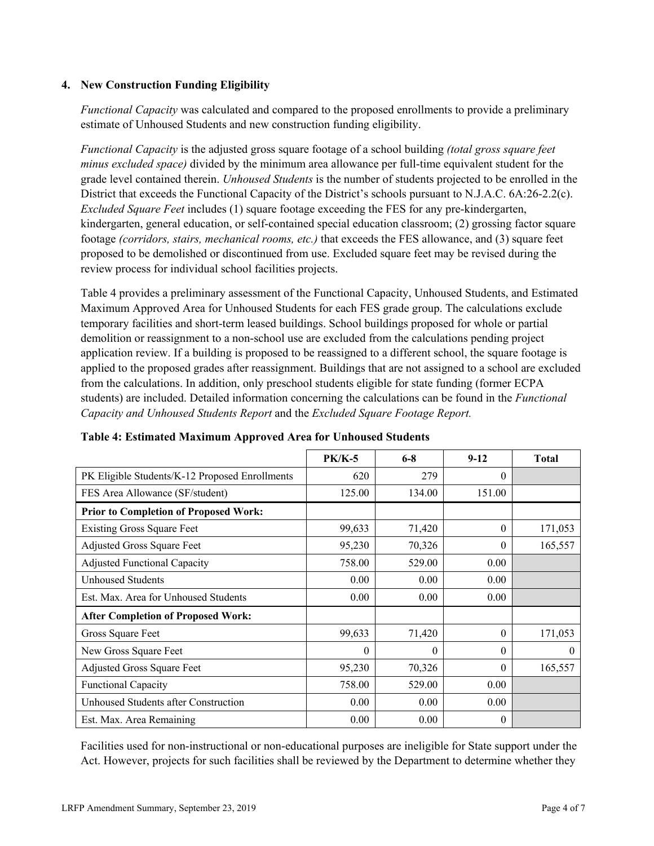### **4. New Construction Funding Eligibility**

*Functional Capacity* was calculated and compared to the proposed enrollments to provide a preliminary estimate of Unhoused Students and new construction funding eligibility.

*Functional Capacity* is the adjusted gross square footage of a school building *(total gross square feet minus excluded space)* divided by the minimum area allowance per full-time equivalent student for the grade level contained therein. *Unhoused Students* is the number of students projected to be enrolled in the District that exceeds the Functional Capacity of the District's schools pursuant to N.J.A.C. 6A:26-2.2(c). *Excluded Square Feet* includes (1) square footage exceeding the FES for any pre-kindergarten, kindergarten, general education, or self-contained special education classroom; (2) grossing factor square footage *(corridors, stairs, mechanical rooms, etc.)* that exceeds the FES allowance, and (3) square feet proposed to be demolished or discontinued from use. Excluded square feet may be revised during the review process for individual school facilities projects.

Table 4 provides a preliminary assessment of the Functional Capacity, Unhoused Students, and Estimated Maximum Approved Area for Unhoused Students for each FES grade group. The calculations exclude temporary facilities and short-term leased buildings. School buildings proposed for whole or partial demolition or reassignment to a non-school use are excluded from the calculations pending project application review. If a building is proposed to be reassigned to a different school, the square footage is applied to the proposed grades after reassignment. Buildings that are not assigned to a school are excluded from the calculations. In addition, only preschool students eligible for state funding (former ECPA students) are included. Detailed information concerning the calculations can be found in the *Functional Capacity and Unhoused Students Report* and the *Excluded Square Footage Report.*

|                                                | $PK/K-5$ | $6 - 8$  | $9-12$   | <b>Total</b> |
|------------------------------------------------|----------|----------|----------|--------------|
| PK Eligible Students/K-12 Proposed Enrollments | 620      | 279      | $\Omega$ |              |
| FES Area Allowance (SF/student)                | 125.00   | 134.00   | 151.00   |              |
| <b>Prior to Completion of Proposed Work:</b>   |          |          |          |              |
| <b>Existing Gross Square Feet</b>              | 99,633   | 71,420   | $\theta$ | 171,053      |
| Adjusted Gross Square Feet                     | 95,230   | 70,326   | $\theta$ | 165,557      |
| <b>Adjusted Functional Capacity</b>            | 758.00   | 529.00   | 0.00     |              |
| Unhoused Students                              | 0.00     | 0.00     | 0.00     |              |
| Est. Max. Area for Unhoused Students           | 0.00     | 0.00     | 0.00     |              |
| <b>After Completion of Proposed Work:</b>      |          |          |          |              |
| Gross Square Feet                              | 99,633   | 71,420   | $\theta$ | 171,053      |
| New Gross Square Feet                          | 0        | $\theta$ | $\theta$ | $\theta$     |
| Adjusted Gross Square Feet                     | 95,230   | 70,326   | $\theta$ | 165,557      |
| <b>Functional Capacity</b>                     | 758.00   | 529.00   | 0.00     |              |
| Unhoused Students after Construction           | 0.00     | 0.00     | 0.00     |              |
| Est. Max. Area Remaining                       | 0.00     | 0.00     | $\theta$ |              |

#### **Table 4: Estimated Maximum Approved Area for Unhoused Students**

Facilities used for non-instructional or non-educational purposes are ineligible for State support under the Act. However, projects for such facilities shall be reviewed by the Department to determine whether they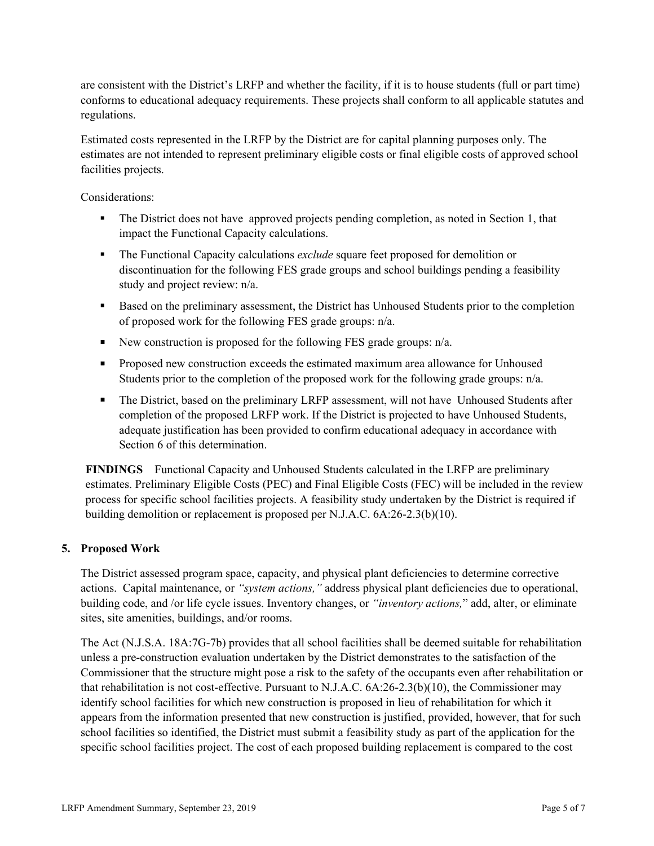are consistent with the District's LRFP and whether the facility, if it is to house students (full or part time) conforms to educational adequacy requirements. These projects shall conform to all applicable statutes and regulations.

Estimated costs represented in the LRFP by the District are for capital planning purposes only. The estimates are not intended to represent preliminary eligible costs or final eligible costs of approved school facilities projects.

Considerations:

- The District does not have approved projects pending completion, as noted in Section 1, that impact the Functional Capacity calculations.
- The Functional Capacity calculations *exclude* square feet proposed for demolition or discontinuation for the following FES grade groups and school buildings pending a feasibility study and project review: n/a.
- Based on the preliminary assessment, the District has Unhoused Students prior to the completion of proposed work for the following FES grade groups: n/a.
- New construction is proposed for the following FES grade groups:  $n/a$ .
- **Proposed new construction exceeds the estimated maximum area allowance for Unhoused** Students prior to the completion of the proposed work for the following grade groups: n/a.
- The District, based on the preliminary LRFP assessment, will not have Unhoused Students after completion of the proposed LRFP work. If the District is projected to have Unhoused Students, adequate justification has been provided to confirm educational adequacy in accordance with Section 6 of this determination.

**FINDINGS** Functional Capacity and Unhoused Students calculated in the LRFP are preliminary estimates. Preliminary Eligible Costs (PEC) and Final Eligible Costs (FEC) will be included in the review process for specific school facilities projects. A feasibility study undertaken by the District is required if building demolition or replacement is proposed per N.J.A.C. 6A:26-2.3(b)(10).

#### **5. Proposed Work**

The District assessed program space, capacity, and physical plant deficiencies to determine corrective actions. Capital maintenance, or *"system actions,"* address physical plant deficiencies due to operational, building code, and /or life cycle issues. Inventory changes, or *"inventory actions,*" add, alter, or eliminate sites, site amenities, buildings, and/or rooms.

The Act (N.J.S.A. 18A:7G-7b) provides that all school facilities shall be deemed suitable for rehabilitation unless a pre-construction evaluation undertaken by the District demonstrates to the satisfaction of the Commissioner that the structure might pose a risk to the safety of the occupants even after rehabilitation or that rehabilitation is not cost-effective. Pursuant to N.J.A.C. 6A:26-2.3(b)(10), the Commissioner may identify school facilities for which new construction is proposed in lieu of rehabilitation for which it appears from the information presented that new construction is justified, provided, however, that for such school facilities so identified, the District must submit a feasibility study as part of the application for the specific school facilities project. The cost of each proposed building replacement is compared to the cost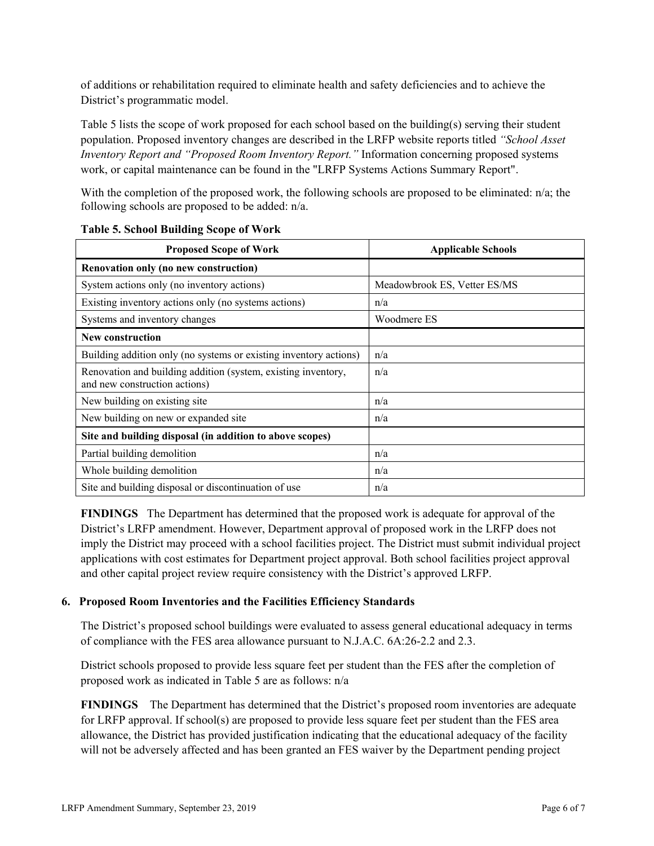of additions or rehabilitation required to eliminate health and safety deficiencies and to achieve the District's programmatic model.

Table 5 lists the scope of work proposed for each school based on the building(s) serving their student population. Proposed inventory changes are described in the LRFP website reports titled *"School Asset Inventory Report and "Proposed Room Inventory Report."* Information concerning proposed systems work, or capital maintenance can be found in the "LRFP Systems Actions Summary Report".

With the completion of the proposed work, the following schools are proposed to be eliminated: n/a; the following schools are proposed to be added: n/a.

| <b>Proposed Scope of Work</b>                                                                  | <b>Applicable Schools</b>    |
|------------------------------------------------------------------------------------------------|------------------------------|
| Renovation only (no new construction)                                                          |                              |
| System actions only (no inventory actions)                                                     | Meadowbrook ES, Vetter ES/MS |
| Existing inventory actions only (no systems actions)                                           | n/a                          |
| Systems and inventory changes                                                                  | Woodmere ES                  |
| <b>New construction</b>                                                                        |                              |
| Building addition only (no systems or existing inventory actions)                              | n/a                          |
| Renovation and building addition (system, existing inventory,<br>and new construction actions) | n/a                          |
| New building on existing site                                                                  | n/a                          |
| New building on new or expanded site                                                           | n/a                          |
| Site and building disposal (in addition to above scopes)                                       |                              |
| Partial building demolition                                                                    | n/a                          |
| Whole building demolition                                                                      | n/a                          |
| Site and building disposal or discontinuation of use                                           | n/a                          |

#### **Table 5. School Building Scope of Work**

**FINDINGS** The Department has determined that the proposed work is adequate for approval of the District's LRFP amendment. However, Department approval of proposed work in the LRFP does not imply the District may proceed with a school facilities project. The District must submit individual project applications with cost estimates for Department project approval. Both school facilities project approval and other capital project review require consistency with the District's approved LRFP.

## **6. Proposed Room Inventories and the Facilities Efficiency Standards**

The District's proposed school buildings were evaluated to assess general educational adequacy in terms of compliance with the FES area allowance pursuant to N.J.A.C. 6A:26-2.2 and 2.3.

District schools proposed to provide less square feet per student than the FES after the completion of proposed work as indicated in Table 5 are as follows: n/a

**FINDINGS** The Department has determined that the District's proposed room inventories are adequate for LRFP approval. If school(s) are proposed to provide less square feet per student than the FES area allowance, the District has provided justification indicating that the educational adequacy of the facility will not be adversely affected and has been granted an FES waiver by the Department pending project